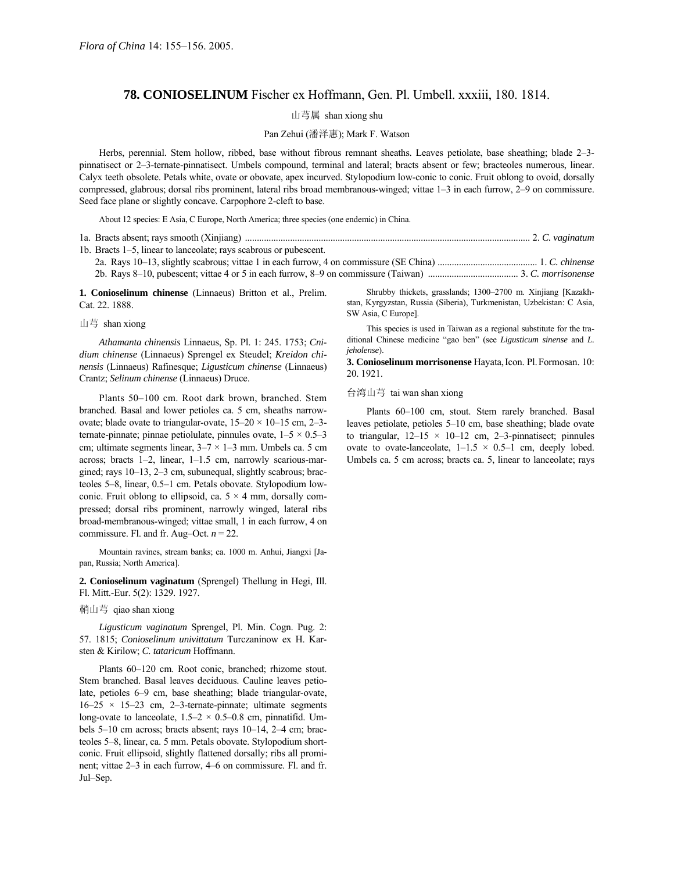# **78. CONIOSELINUM** Fischer ex Hoffmann, Gen. Pl. Umbell. xxxiii, 180. 1814.

# 山芎属 shan xiong shu

### Pan Zehui (潘泽惠); Mark F. Watson

Herbs, perennial. Stem hollow, ribbed, base without fibrous remnant sheaths. Leaves petiolate, base sheathing; blade 2–3pinnatisect or 2–3-ternate-pinnatisect. Umbels compound, terminal and lateral; bracts absent or few; bracteoles numerous, linear. Calyx teeth obsolete. Petals white, ovate or obovate, apex incurved. Stylopodium low-conic to conic. Fruit oblong to ovoid, dorsally compressed, glabrous; dorsal ribs prominent, lateral ribs broad membranous-winged; vittae 1–3 in each furrow, 2–9 on commissure. Seed face plane or slightly concave. Carpophore 2-cleft to base.

About 12 species: E Asia, C Europe, North America; three species (one endemic) in China.

| 1b. Bracts 1–5, linear to lanceolate; rays scabrous or pubescent. |  |
|-------------------------------------------------------------------|--|
|                                                                   |  |
|                                                                   |  |

**1. Conioselinum chinense** (Linnaeus) Britton et al., Prelim. Cat. 22. 1888.

#### 山芎 shan xiong

*Athamanta chinensis* Linnaeus, Sp. Pl. 1: 245. 1753; *Cnidium chinense* (Linnaeus) Sprengel ex Steudel; *Kreidon chinensis* (Linnaeus) Rafinesque; *Ligusticum chinense* (Linnaeus) Crantz; *Selinum chinense* (Linnaeus) Druce.

Plants 50-100 cm. Root dark brown, branched. Stem branched. Basal and lower petioles ca. 5 cm, sheaths narrowovate; blade ovate to triangular-ovate,  $15-20 \times 10-15$  cm, 2-3ternate-pinnate; pinnae petiolulate, pinnules ovate,  $1-5 \times 0.5-3$ cm; ultimate segments linear,  $3-7 \times 1-3$  mm. Umbels ca. 5 cm across; bracts  $1-2$ , linear,  $1-1.5$  cm, narrowly scarious-margined; rays 10-13, 2-3 cm, subunequal, slightly scabrous; bracteoles 5–8, linear, 0.5–1 cm. Petals obovate. Stylopodium lowconic. Fruit oblong to ellipsoid, ca.  $5 \times 4$  mm, dorsally compressed; dorsal ribs prominent, narrowly winged, lateral ribs broad-membranous-winged; vittae small, 1 in each furrow, 4 on commissure. Fl. and fr. Aug–Oct.  $n = 22$ .

Mountain ravines, stream banks; ca. 1000 m. Anhui, Jiangxi [Japan, Russia; North America].

**2. Conioselinum vaginatum** (Sprengel) Thellung in Hegi, Ill. Fl. Mitt.-Eur. 5(2): 1329. 1927.

## 鞘山芎 qiao shan xiong

*Ligusticum vaginatum* Sprengel, Pl. Min. Cogn. Pug. 2: 57. 1815; *Conioselinum univittatum* Turczaninow ex H. Karsten & Kirilow; *C. tataricum* Hoffmann.

Plants 60–120 cm. Root conic, branched; rhizome stout. Stem branched. Basal leaves deciduous. Cauline leaves petiolate, petioles 6–9 cm, base sheathing; blade triangular-ovate,  $16-25 \times 15-23$  cm, 2-3-ternate-pinnate; ultimate segments long-ovate to lanceolate,  $1.5-2 \times 0.5-0.8$  cm, pinnatifid. Umbels  $5-10$  cm across; bracts absent; rays  $10-14$ ,  $2-4$  cm; bracteoles 5–8, linear, ca. 5 mm. Petals obovate. Stylopodium shortconic. Fruit ellipsoid, slightly flattened dorsally; ribs all prominent; vittae  $2-3$  in each furrow,  $4-6$  on commissure. Fl. and fr. Jul–Sep.

Shrubby thickets, grasslands; 1300-2700 m. Xinjiang [Kazakhstan, Kyrgyzstan, Russia (Siberia), Turkmenistan, Uzbekistan: C Asia, SW Asia, C Europe].

This species is used in Taiwan as a regional substitute for the traditional Chinese medicine "gao ben" (see *Ligusticum sinense* and *L. jeholense*).

**3. Conioselinum morrisonense** Hayata,Icon. Pl.Formosan. 10: 20. 1921.

### 台湾山芎 tai wan shan xiong

Plants 60-100 cm, stout. Stem rarely branched. Basal leaves petiolate, petioles 5–10 cm, base sheathing; blade ovate to triangular,  $12-15 \times 10-12$  cm, 2-3-pinnatisect; pinnules ovate to ovate-lanceolate,  $1-1.5 \times 0.5-1$  cm, deeply lobed. Umbels ca. 5 cm across; bracts ca. 5, linear to lanceolate; rays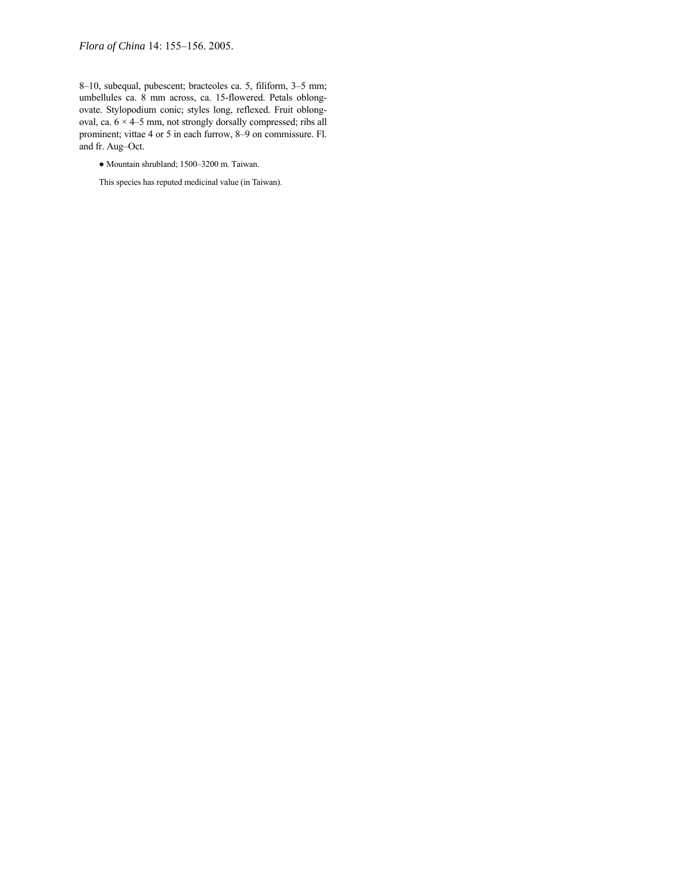*Flora of China* 14: 155-156. 2005.

8-10, subequal, pubescent; bracteoles ca. 5, filiform, 3-5 mm; umbellules ca. 8 mm across, ca. 15-flowered. Petals oblongovate. Stylopodium conic; styles long, reflexed. Fruit oblongoval, ca.  $6 \times 4$ -5 mm, not strongly dorsally compressed; ribs all prominent; vittae 4 or 5 in each furrow, 8–9 on commissure. Fl. and fr. Aug-Oct.

- $\bullet$  Mountain shrubland; 1500-3200 m. Taiwan.
- This species has reputed medicinal value (in Taiwan).